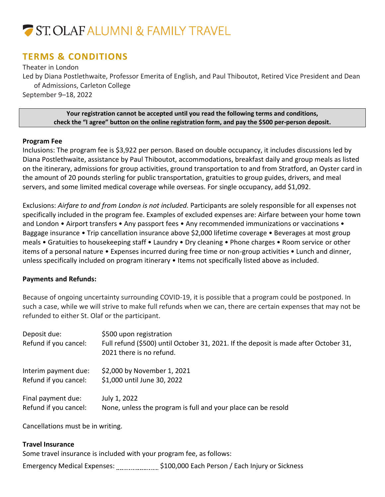# ST. OLAF ALUMNI & FAMILY TRAVEL

# **TERMS & CONDITIONS**

Theater in London Led by Diana Postlethwaite, Professor Emerita of English, and Paul Thiboutot, Retired Vice President and Dean of Admissions, Carleton College September 9–18, 2022

**Your registration cannot be accepted until you read the following terms and conditions, check the "I agree" button on the online registration form, and pay the \$500 per-person deposit.**

# **Program Fee**

Inclusions: The program fee is \$3,922 per person. Based on double occupancy, it includes discussions led by Diana Postlethwaite, assistance by Paul Thiboutot, accommodations, breakfast daily and group meals as listed on the itinerary, admissions for group activities, ground transportation to and from Stratford, an Oyster card in the amount of 20 pounds sterling for public transportation, gratuities to group guides, drivers, and meal servers, and some limited medical coverage while overseas. For single occupancy, add \$1,092.

Exclusions: *Airfare to and from London is not included.* Participants are solely responsible for all expenses not specifically included in the program fee. Examples of excluded expenses are: Airfare between your home town and London • Airport transfers • Any passport fees • Any recommended immunizations or vaccinations • Baggage insurance • Trip cancellation insurance above \$2,000 lifetime coverage • Beverages at most group meals • Gratuities to housekeeping staff • Laundry • Dry cleaning • Phone charges • Room service or other items of a personal nature • Expenses incurred during free time or non-group activities • Lunch and dinner, unless specifically included on program itinerary • Items not specifically listed above as included.

# **Payments and Refunds:**

Because of ongoing uncertainty surrounding COVID-19, it is possible that a program could be postponed. In such a case, while we will strive to make full refunds when we can, there are certain expenses that may not be refunded to either St. Olaf or the participant.

| Deposit due:<br>Refund if you cancel: | \$500 upon registration<br>Full refund (\$500) until October 31, 2021. If the deposit is made after October 31,<br>2021 there is no refund. |  |
|---------------------------------------|---------------------------------------------------------------------------------------------------------------------------------------------|--|
| Interim payment due:                  | \$2,000 by November 1, 2021                                                                                                                 |  |
| Refund if you cancel:                 | \$1,000 until June 30, 2022                                                                                                                 |  |
| Final payment due:                    | July 1, 2022                                                                                                                                |  |
| Refund if you cancel:                 | None, unless the program is full and your place can be resold                                                                               |  |

Cancellations must be in writing.

# **Travel Insurance**

Some travel insurance is included with your program fee, as follows: Emergency Medical Expenses: ......................... \$100,000 Each Person / Each Injury or Sickness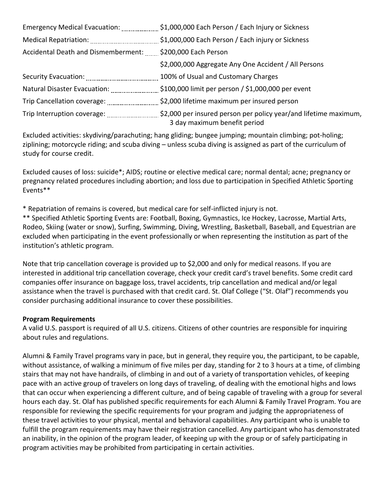|                                                           | Emergency Medical Evacuation: 51,000,000 Each Person / Each Injury or Sickness                                               |
|-----------------------------------------------------------|------------------------------------------------------------------------------------------------------------------------------|
|                                                           | \$1,000,000 Each Person / Each injury or Sickness                                                                            |
| Accidental Death and Dismemberment: \$200,000 Each Person |                                                                                                                              |
|                                                           | \$2,000,000 Aggregate Any One Accident / All Persons                                                                         |
|                                                           | 100% of Usual and Customary Charges                                                                                          |
| Natural Disaster Evacuation:                              | $\frac{1}{2}$ \$100,000 limit per person / \$1,000,000 per event                                                             |
| Trip Cancellation coverage:                               | \$2,000 lifetime maximum per insured person                                                                                  |
|                                                           | Trip Interruption coverage: \$2,000 per insured person per policy year/and lifetime maximum,<br>3 day maximum benefit period |

Excluded activities: skydiving/parachuting; hang gliding; bungee jumping; mountain climbing; pot-holing; ziplining; motorcycle riding; and scuba diving – unless scuba diving is assigned as part of the curriculum of study for course credit.

Excluded causes of loss: suicide\*; AIDS; routine or elective medical care; normal dental; acne; pregnancy or pregnancy related procedures including abortion; and loss due to participation in Specified Athletic Sporting Events\*\*

\* Repatriation of remains is covered, but medical care for self-inflicted injury is not.

\*\* Specified Athletic Sporting Events are: Football, Boxing, Gymnastics, Ice Hockey, Lacrosse, Martial Arts, Rodeo, Skiing (water or snow), Surfing, Swimming, Diving, Wrestling, Basketball, Baseball, and Equestrian are excluded when participating in the event professionally or when representing the institution as part of the institution's athletic program.

Note that trip cancellation coverage is provided up to \$2,000 and only for medical reasons. If you are interested in additional trip cancellation coverage, check your credit card's travel benefits. Some credit card companies offer insurance on baggage loss, travel accidents, trip cancellation and medical and/or legal assistance when the travel is purchased with that credit card. St. Olaf College ("St. Olaf") recommends you consider purchasing additional insurance to cover these possibilities.

# **Program Requirements**

A valid U.S. passport is required of all U.S. citizens. Citizens of other countries are responsible for inquiring about rules and regulations.

Alumni & Family Travel programs vary in pace, but in general, they require you, the participant, to be capable, without assistance, of walking a minimum of five miles per day, standing for 2 to 3 hours at a time, of climbing stairs that may not have handrails, of climbing in and out of a variety of transportation vehicles, of keeping pace with an active group of travelers on long days of traveling, of dealing with the emotional highs and lows that can occur when experiencing a different culture, and of being capable of traveling with a group for several hours each day. St. Olaf has published specific requirements for each Alumni & Family Travel Program. You are responsible for reviewing the specific requirements for your program and judging the appropriateness of these travel activities to your physical, mental and behavioral capabilities. Any participant who is unable to fulfill the program requirements may have their registration cancelled. Any participant who has demonstrated an inability, in the opinion of the program leader, of keeping up with the group or of safely participating in program activities may be prohibited from participating in certain activities.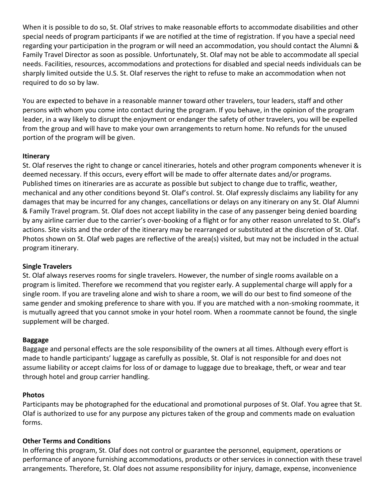When it is possible to do so, St. Olaf strives to make reasonable efforts to accommodate disabilities and other special needs of program participants if we are notified at the time of registration. If you have a special need regarding your participation in the program or will need an accommodation, you should contact the Alumni & Family Travel Director as soon as possible. Unfortunately, St. Olaf may not be able to accommodate all special needs. Facilities, resources, accommodations and protections for disabled and special needs individuals can be sharply limited outside the U.S. St. Olaf reserves the right to refuse to make an accommodation when not required to do so by law.

You are expected to behave in a reasonable manner toward other travelers, tour leaders, staff and other persons with whom you come into contact during the program. If you behave, in the opinion of the program leader, in a way likely to disrupt the enjoyment or endanger the safety of other travelers, you will be expelled from the group and will have to make your own arrangements to return home. No refunds for the unused portion of the program will be given.

# **Itinerary**

St. Olaf reserves the right to change or cancel itineraries, hotels and other program components whenever it is deemed necessary. If this occurs, every effort will be made to offer alternate dates and/or programs. Published times on itineraries are as accurate as possible but subject to change due to traffic, weather, mechanical and any other conditions beyond St. Olaf's control. St. Olaf expressly disclaims any liability for any damages that may be incurred for any changes, cancellations or delays on any itinerary on any St. Olaf Alumni & Family Travel program. St. Olaf does not accept liability in the case of any passenger being denied boarding by any airline carrier due to the carrier's over-booking of a flight or for any other reason unrelated to St. Olaf's actions. Site visits and the order of the itinerary may be rearranged or substituted at the discretion of St. Olaf. Photos shown on St. Olaf web pages are reflective of the area(s) visited, but may not be included in the actual program itinerary.

# **Single Travelers**

St. Olaf always reserves rooms for single travelers. However, the number of single rooms available on a program is limited. Therefore we recommend that you register early. A supplemental charge will apply for a single room. If you are traveling alone and wish to share a room, we will do our best to find someone of the same gender and smoking preference to share with you. If you are matched with a non-smoking roommate, it is mutually agreed that you cannot smoke in your hotel room. When a roommate cannot be found, the single supplement will be charged.

# **Baggage**

Baggage and personal effects are the sole responsibility of the owners at all times. Although every effort is made to handle participants' luggage as carefully as possible, St. Olaf is not responsible for and does not assume liability or accept claims for loss of or damage to luggage due to breakage, theft, or wear and tear through hotel and group carrier handling.

# **Photos**

Participants may be photographed for the educational and promotional purposes of St. Olaf. You agree that St. Olaf is authorized to use for any purpose any pictures taken of the group and comments made on evaluation forms.

# **Other Terms and Conditions**

In offering this program, St. Olaf does not control or guarantee the personnel, equipment, operations or performance of anyone furnishing accommodations, products or other services in connection with these travel arrangements. Therefore, St. Olaf does not assume responsibility for injury, damage, expense, inconvenience